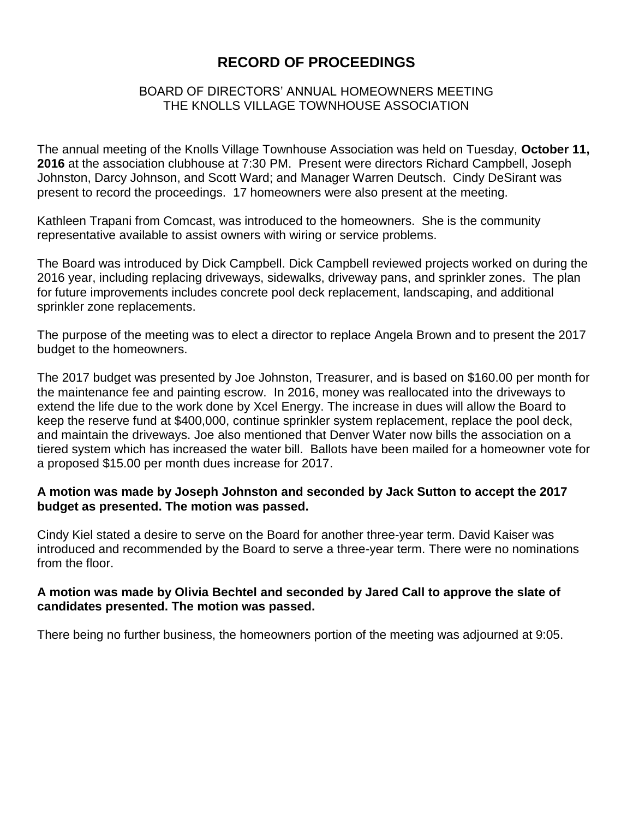# **RECORD OF PROCEEDINGS**

### BOARD OF DIRECTORS' ANNUAL HOMEOWNERS MEETING THE KNOLLS VILLAGE TOWNHOUSE ASSOCIATION

The annual meeting of the Knolls Village Townhouse Association was held on Tuesday, **October 11, 2016** at the association clubhouse at 7:30 PM. Present were directors Richard Campbell, Joseph Johnston, Darcy Johnson, and Scott Ward; and Manager Warren Deutsch. Cindy DeSirant was present to record the proceedings. 17 homeowners were also present at the meeting.

Kathleen Trapani from Comcast, was introduced to the homeowners. She is the community representative available to assist owners with wiring or service problems.

The Board was introduced by Dick Campbell. Dick Campbell reviewed projects worked on during the 2016 year, including replacing driveways, sidewalks, driveway pans, and sprinkler zones. The plan for future improvements includes concrete pool deck replacement, landscaping, and additional sprinkler zone replacements.

The purpose of the meeting was to elect a director to replace Angela Brown and to present the 2017 budget to the homeowners.

The 2017 budget was presented by Joe Johnston, Treasurer, and is based on \$160.00 per month for the maintenance fee and painting escrow. In 2016, money was reallocated into the driveways to extend the life due to the work done by Xcel Energy. The increase in dues will allow the Board to keep the reserve fund at \$400,000, continue sprinkler system replacement, replace the pool deck, and maintain the driveways. Joe also mentioned that Denver Water now bills the association on a tiered system which has increased the water bill. Ballots have been mailed for a homeowner vote for a proposed \$15.00 per month dues increase for 2017.

### **A motion was made by Joseph Johnston and seconded by Jack Sutton to accept the 2017 budget as presented. The motion was passed.**

Cindy Kiel stated a desire to serve on the Board for another three-year term. David Kaiser was introduced and recommended by the Board to serve a three-year term. There were no nominations from the floor.

### **A motion was made by Olivia Bechtel and seconded by Jared Call to approve the slate of candidates presented. The motion was passed.**

There being no further business, the homeowners portion of the meeting was adjourned at 9:05.